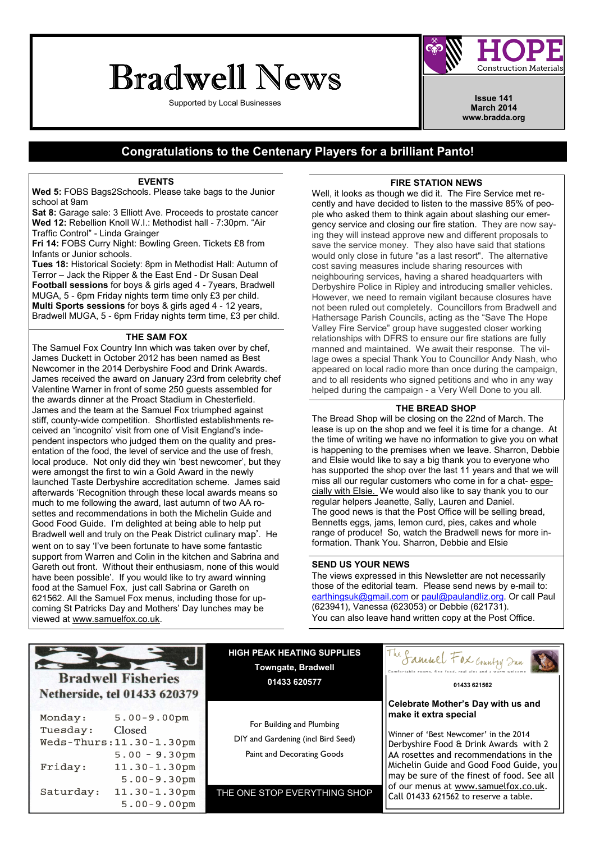# Bradwell News

Supported by Local Businesses **Issue 141 Issue 141** 



March 2014 www.bradda.org

### Congratulations to the Centenary Players for a brilliant Panto!

#### **EVENTS**

Wed 5: FOBS Bags2Schools. Please take bags to the Junior school at 9am

Sat 8: Garage sale: 3 Elliott Ave. Proceeds to prostate cancer Wed 12: Rebellion Knoll W.I.: Methodist hall - 7:30pm. "Air Traffic Control" - Linda Grainger

Fri 14: FOBS Curry Night: Bowling Green. Tickets £8 from Infants or Junior schools.

Tues 18: Historical Society: 8pm in Methodist Hall: Autumn of Terror – Jack the Ripper & the East End - Dr Susan Deal Football sessions for boys & girls aged 4 - 7years, Bradwell MUGA, 5 - 6pm Friday nights term time only £3 per child. Multi Sports sessions for boys & girls aged 4 - 12 years, Bradwell MUGA, 5 - 6pm Friday nights term time, £3 per child.

#### THE SAM FOX

The Samuel Fox Country Inn which was taken over by chef, James Duckett in October 2012 has been named as Best Newcomer in the 2014 Derbyshire Food and Drink Awards. James received the award on January 23rd from celebrity chef Valentine Warner in front of some 250 guests assembled for the awards dinner at the Proact Stadium in Chesterfield. James and the team at the Samuel Fox triumphed against stiff, county-wide competition. Shortlisted establishments received an 'incognito' visit from one of Visit England's independent inspectors who judged them on the quality and presentation of the food, the level of service and the use of fresh, local produce. Not only did they win 'best newcomer', but they were amongst the first to win a Gold Award in the newly launched Taste Derbyshire accreditation scheme. James said afterwards 'Recognition through these local awards means so much to me following the award, last autumn of two AA rosettes and recommendations in both the Michelin Guide and Good Food Guide. I'm delighted at being able to help put Bradwell well and truly on the Peak District culinary map'. He went on to say 'I've been fortunate to have some fantastic support from Warren and Colin in the kitchen and Sabrina and Gareth out front. Without their enthusiasm, none of this would have been possible'. If you would like to try award winning food at the Samuel Fox, just call Sabrina or Gareth on 621562. All the Samuel Fox menus, including those for upcoming St Patricks Day and Mothers' Day lunches may be viewed at www.samuelfox.co.uk.

#### FIRE STATION NEWS

Well, it looks as though we did it. The Fire Service met recently and have decided to listen to the massive 85% of people who asked them to think again about slashing our emergency service and closing our fire station. They are now saying they will instead approve new and different proposals to save the service money. They also have said that stations would only close in future "as a last resort". The alternative cost saving measures include sharing resources with neighbouring services, having a shared headquarters with Derbyshire Police in Ripley and introducing smaller vehicles. However, we need to remain vigilant because closures have not been ruled out completely. Councillors from Bradwell and Hathersage Parish Councils, acting as the "Save The Hope Valley Fire Service" group have suggested closer working relationships with DFRS to ensure our fire stations are fully manned and maintained. We await their response. The village owes a special Thank You to Councillor Andy Nash, who appeared on local radio more than once during the campaign, and to all residents who signed petitions and who in any way helped during the campaign - a Very Well Done to you all.

#### THE BREAD SHOP

The Bread Shop will be closing on the 22nd of March. The lease is up on the shop and we feel it is time for a change. At the time of writing we have no information to give you on what is happening to the premises when we leave. Sharron, Debbie and Elsie would like to say a big thank you to everyone who has supported the shop over the last 11 years and that we will miss all our regular customers who come in for a chat- especially with Elsie. We would also like to say thank you to our regular helpers Jeanette, Sally, Lauren and Daniel. The good news is that the Post Office will be selling bread, Bennetts eggs, jams, lemon curd, pies, cakes and whole range of produce! So, watch the Bradwell news for more information. Thank You. Sharron, Debbie and Elsie

#### SEND US YOUR NEWS

The views expressed in this Newsletter are not necessarily those of the editorial team. Please send news by e-mail to: earthingsuk@gmail.com or paul@paulandliz.org. Or call Paul (623941), Vanessa (623053) or Debbie (621731). You can also leave hand written copy at the Post Office.

### **Bradwell Fisheries** Netherside, tel 01433 620379

| Monday:   | $5.00 - 9.00$ pm         |
|-----------|--------------------------|
| Tuesday:  | Closed                   |
|           | Weds-Thurs: 11.30-1.30pm |
|           | $5.00 - 9.30$ pm         |
| Friday:   | $11.30 - 1.30$ pm        |
|           | $5.00 - 9.30$ pm         |
| Saturday: | $11.30 - 1.30$ pm        |
|           | $5.00 - 9.00$ pm         |
|           |                          |

HIGH PEAK HEATING SUPPLIES Towngate, Bradwell 01433 620577

For Building and Plumbing DIY and Gardening (incl Bird Seed) Paint and Decorating Goods

THE ONE STOP EVERYTHING SHOP



#### 01433 621562

#### Celebrate Mother's Day with us and make it extra special

Winner of 'Best Newcomer' in the 2014 Derbyshire Food & Drink Awards with 2 AA rosettes and recommendations in the Michelin Guide and Good Food Guide, you may be sure of the finest of food. See all of our menus at www.samuelfox.co.uk. Call 01433 621562 to reserve a table.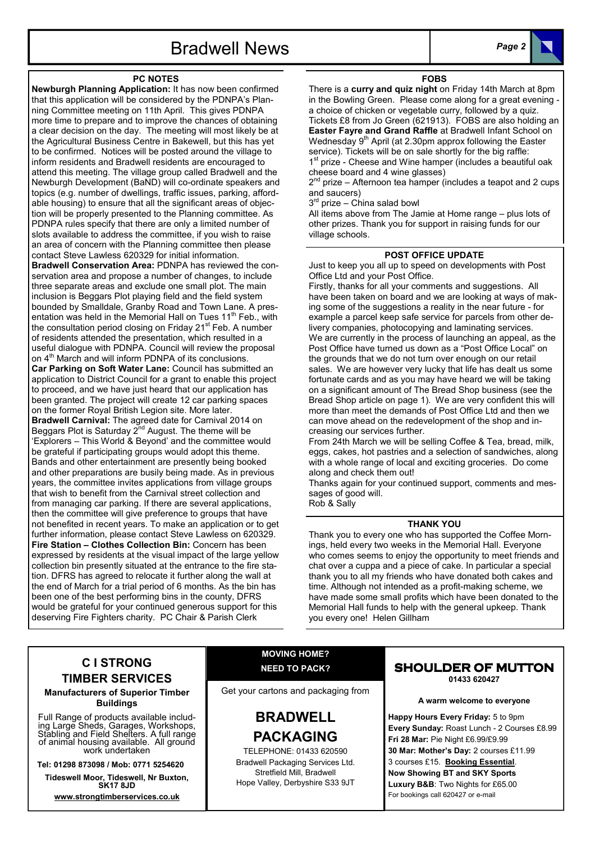## Bradwell News Page 2

#### PC NOTES

Newburgh Planning Application: It has now been confirmed that this application will be considered by the PDNPA's Planning Committee meeting on 11th April. This gives PDNPA more time to prepare and to improve the chances of obtaining a clear decision on the day. The meeting will most likely be at the Agricultural Business Centre in Bakewell, but this has yet to be confirmed. Notices will be posted around the village to inform residents and Bradwell residents are encouraged to attend this meeting. The village group called Bradwell and the Newburgh Development (BaND) will co-ordinate speakers and topics (e.g. number of dwellings, traffic issues, parking, affordable housing) to ensure that all the significant areas of objection will be properly presented to the Planning committee. As PDNPA rules specify that there are only a limited number of slots available to address the committee, if you wish to raise an area of concern with the Planning committee then please contact Steve Lawless 620329 for initial information.

Bradwell Conservation Area: PDNPA has reviewed the conservation area and propose a number of changes, to include three separate areas and exclude one small plot. The main inclusion is Beggars Plot playing field and the field system bounded by Smalldale, Granby Road and Town Lane. A presentation was held in the Memorial Hall on Tues 11<sup>th</sup> Feb., with the consultation period closing on Friday 21<sup>st</sup> Feb. A number of residents attended the presentation, which resulted in a useful dialogue with PDNPA. Council will review the proposal on 4<sup>th</sup> March and will inform PDNPA of its conclusions. Car Parking on Soft Water Lane: Council has submitted an application to District Council for a grant to enable this project to proceed, and we have just heard that our application has been granted. The project will create 12 car parking spaces on the former Royal British Legion site. More later. Bradwell Carnival: The agreed date for Carnival 2014 on Beggars Plot is Saturday  $2^{nd}$  August. The theme will be 'Explorers – This World & Beyond' and the committee would be grateful if participating groups would adopt this theme. Bands and other entertainment are presently being booked and other preparations are busily being made. As in previous years, the committee invites applications from village groups that wish to benefit from the Carnival street collection and from managing car parking. If there are several applications, then the committee will give preference to groups that have not benefited in recent years. To make an application or to get further information, please contact Steve Lawless on 620329. Fire Station – Clothes Collection Bin: Concern has been expressed by residents at the visual impact of the large yellow collection bin presently situated at the entrance to the fire station. DFRS has agreed to relocate it further along the wall at the end of March for a trial period of 6 months. As the bin has been one of the best performing bins in the county, DFRS would be grateful for your continued generous support for this deserving Fire Fighters charity. PC Chair & Parish Clerk

### FOBS

There is a curry and quiz night on Friday 14th March at 8pm in the Bowling Green. Please come along for a great evening a choice of chicken or vegetable curry, followed by a quiz. Tickets £8 from Jo Green (621913). FOBS are also holding an Easter Fayre and Grand Raffle at Bradwell Infant School on Wednesday 9<sup>th</sup> April (at 2.30pm approx following the Easter service). Tickets will be on sale shortly for the big raffle: 1<sup>st</sup> prize - Cheese and Wine hamper (includes a beautiful oak cheese board and 4 wine glasses)

2<sup>nd</sup> prize – Afternoon tea hamper (includes a teapot and 2 cups and saucers)

3<sup>rd</sup> prize – China salad bowl

All items above from The Jamie at Home range – plus lots of other prizes. Thank you for support in raising funds for our village schools.

#### POST OFFICE UPDATE

Just to keep you all up to speed on developments with Post Office Ltd and your Post Office.

Firstly, thanks for all your comments and suggestions. All have been taken on board and we are looking at ways of making some of the suggestions a reality in the near future - for example a parcel keep safe service for parcels from other delivery companies, photocopying and laminating services. We are currently in the process of launching an appeal, as the Post Office have turned us down as a "Post Office Local" on the grounds that we do not turn over enough on our retail sales. We are however very lucky that life has dealt us some fortunate cards and as you may have heard we will be taking on a significant amount of The Bread Shop business (see the Bread Shop article on page 1). We are very confident this will more than meet the demands of Post Office Ltd and then we can move ahead on the redevelopment of the shop and increasing our services further.

From 24th March we will be selling Coffee & Tea, bread, milk, eggs, cakes, hot pastries and a selection of sandwiches, along with a whole range of local and exciting groceries. Do come along and check them out!

Thanks again for your continued support, comments and messages of good will. Rob & Sally

#### THANK YOU

Thank you to every one who has supported the Coffee Mornings, held every two weeks in the Memorial Hall. Everyone who comes seems to enjoy the opportunity to meet friends and chat over a cuppa and a piece of cake. In particular a special thank you to all my friends who have donated both cakes and time. Although not intended as a profit-making scheme, we have made some small profits which have been donated to the Memorial Hall funds to help with the general upkeep. Thank you every one! Helen Gillham

### C I STRONG TIMBER SERVICES

Manufacturers of Superior Timber Buildings

Full Range of products available including Large Sheds, Garages, Workshops, Stabling and Field Shelters. A full range of animal housing available. All ground work undertaken

Tel: 01298 873098 / Mob: 0771 5254620

Tideswell Moor, Tideswell, Nr Buxton, SK17 8JD

www.strongtimberservices.co.uk

### MOVING HOME? NEED TO PACK?

Get your cartons and packaging from

### BRADWELL PACKAGING

TELEPHONE: 01433 620590 Bradwell Packaging Services Ltd. Stretfield Mill, Bradwell Hope Valley, Derbyshire S33 9JT

#### SHOULDER OF MUTTON 01433 620427

A warm welcome to everyone

Happy Hours Every Friday: 5 to 9pm Every Sunday: Roast Lunch - 2 Courses £8.99 Fri 28 Mar: Pie Night £6.99/£9.99 30 Mar: Mother's Day: 2 courses £11.99 3 courses £15. Booking Essential. Now Showing BT and SKY Sports Luxury B&B: Two Nights for £65.00 For bookings call 620427 or e-mail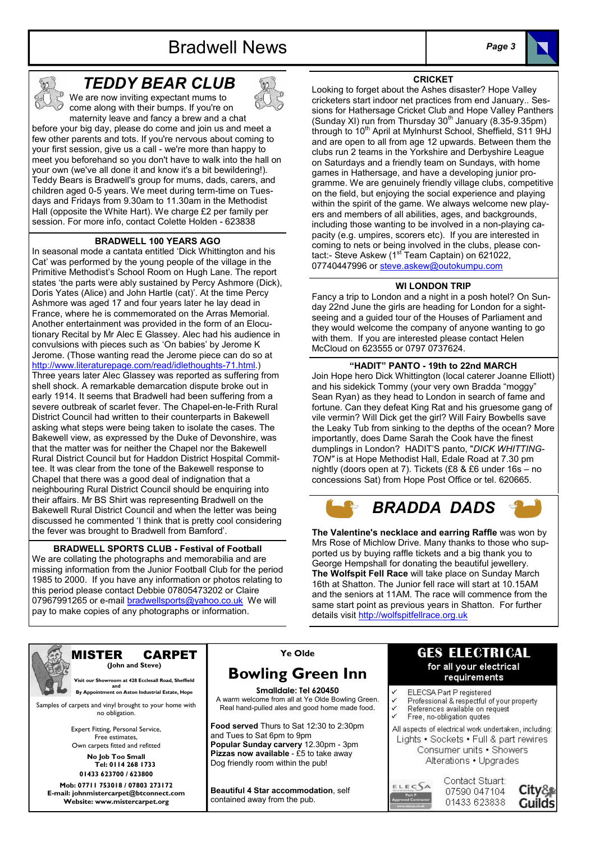## Bradwell News Page 3





### TEDDY BEAR CLUB

We are now inviting expectant mums to come along with their bumps. If you're on maternity leave and fancy a brew and a chat

before your big day, please do come and join us and meet a few other parents and tots. If you're nervous about coming to your first session, give us a call - we're more than happy to meet you beforehand so you don't have to walk into the hall on your own (we've all done it and know it's a bit bewildering!). Teddy Bears is Bradwell's group for mums, dads, carers, and children aged 0-5 years. We meet during term-time on Tuesdays and Fridays from 9.30am to 11.30am in the Methodist Hall (opposite the White Hart). We charge £2 per family per session. For more info, contact Colette Holden - 623838

#### BRADWELL 100 YEARS AGO

In seasonal mode a cantata entitled 'Dick Whittington and his Cat' was performed by the young people of the village in the Primitive Methodist's School Room on Hugh Lane. The report states 'the parts were ably sustained by Percy Ashmore (Dick), Doris Yates (Alice) and John Hartle (cat)'. At the time Percy Ashmore was aged 17 and four years later he lay dead in France, where he is commemorated on the Arras Memorial. Another entertainment was provided in the form of an Elocutionary Recital by Mr Alec E Glassey. Alec had his audience in convulsions with pieces such as 'On babies' by Jerome K Jerome. (Those wanting read the Jerome piece can do so at http://www.literaturepage.com/read/idlethoughts-71.html.) Three years later Alec Glassey was reported as suffering from shell shock. A remarkable demarcation dispute broke out in early 1914. It seems that Bradwell had been suffering from a severe outbreak of scarlet fever. The Chapel-en-le-Frith Rural District Council had written to their counterparts in Bakewell asking what steps were being taken to isolate the cases. The Bakewell view, as expressed by the Duke of Devonshire, was that the matter was for neither the Chapel nor the Bakewell Rural District Council but for Haddon District Hospital Committee. It was clear from the tone of the Bakewell response to Chapel that there was a good deal of indignation that a neighbouring Rural District Council should be enquiring into their affairs. Mr BS Shirt was representing Bradwell on the Bakewell Rural District Council and when the letter was being discussed he commented 'I think that is pretty cool considering the fever was brought to Bradwell from Bamford'.

BRADWELL SPORTS CLUB - Festival of Football We are collating the photographs and memorabilia and are missing information from the Junior Football Club for the period 1985 to 2000. If you have any information or photos relating to this period please contact Debbie 07805473202 or Claire 07967991265 or e-mail bradwellsports@yahoo.co.uk We will pay to make copies of any photographs or information.



(Sunday XI) run from Thursday  $30<sup>th</sup>$  January (8.35-9.35pm) through to 10<sup>th</sup> April at Mylnhurst School, Sheffield, S11 9HJ and are open to all from age 12 upwards. Between them the clubs run 2 teams in the Yorkshire and Derbyshire League on Saturdays and a friendly team on Sundays, with home games in Hathersage, and have a developing junior programme. We are genuinely friendly village clubs, competitive on the field, but enjoying the social experience and playing within the spirit of the game. We always welcome new players and members of all abilities, ages, and backgrounds, including those wanting to be involved in a non-playing capacity (e.g. umpires, scorers etc). If you are interested in coming to nets or being involved in the clubs, please contact:- Steve Askew (1<sup>st T</sup>eam Captain) on 621022, 07740447996 or steve.askew@outokumpu.com

CRICKET Looking to forget about the Ashes disaster? Hope Valley cricketers start indoor net practices from end January.. Sessions for Hathersage Cricket Club and Hope Valley Panthers

#### WI LONDON TRIP

Fancy a trip to London and a night in a posh hotel? On Sunday 22nd June the girls are heading for London for a sightseeing and a guided tour of the Houses of Parliament and they would welcome the company of anyone wanting to go with them. If you are interested please contact Helen McCloud on 623555 or 0797 0737624.

#### "HADIT" PANTO - 19th to 22nd MARCH

Join Hope hero Dick Whittington (local caterer Joanne Elliott) and his sidekick Tommy (your very own Bradda "moggy" Sean Ryan) as they head to London in search of fame and fortune. Can they defeat King Rat and his gruesome gang of vile vermin? Will Dick get the girl? Will Fairy Bowbells save the Leaky Tub from sinking to the depths of the ocean? More importantly, does Dame Sarah the Cook have the finest dumplings in London? HADIT'S panto, "DICK WHITTING-TON" is at Hope Methodist Hall, Edale Road at 7.30 pm nightly (doors open at 7). Tickets (£8 & £6 under 16s – no concessions Sat) from Hope Post Office or tel. 620665.

## BRADDA DADS

The Valentine's necklace and earring Raffle was won by Mrs Rose of Michlow Drive. Many thanks to those who supported us by buying raffle tickets and a big thank you to George Hempshall for donating the beautiful jewellery. The Wolfspit Fell Race will take place on Sunday March 16th at Shatton. The Junior fell race will start at 10.15AM and the seniors at 11AM. The race will commence from the same start point as previous years in Shatton. For further details visit http://wolfspitfellrace.org.uk



#### MISTER CARPET (John and Steve)

Visit our Showroom at 428 Ecclesall Road, Sheffield

and and **By Appointment on Aston Industrial Estate, Hope** 

Samples of carpets and vinyl brought to your home with no obligation.

> Expert Fitting, Personal Service, Free estimates, Own carpets fitted and refitted

No Job Too Small Tel: 0114 268 1733 01433 623700 / 623800 Mob: 07711 753018 / 07803 273172

E-mail: johnmistercarpet@btconnect.com Website: www.mistercarpet.org

### Ye Olde

### Bowling Green Inn

Smalldale: Tel 620450 A warm welcome from all at Ye Olde Bowling Green. Real hand-pulled ales and good home made food.

Food served Thurs to Sat 12:30 to 2:30pm and Tues to Sat 6pm to 9pm Popular Sunday carvery 12.30pm - 3pm Pizzas now available - £5 to take away Dog friendly room within the pub!

Beautiful 4 Star accommodation, self contained away from the pub.

### **GES ELECTRICAL** for all your electrical requirements

- ELECSA Part P registered
- Professional & respectful of your property
- References available on request Free, no-obligation quotes
- 

All aspects of electrical work undertaken, including: Lights • Sockets • Full & part rewires Consumer units . Showers Alterations . Upgrades